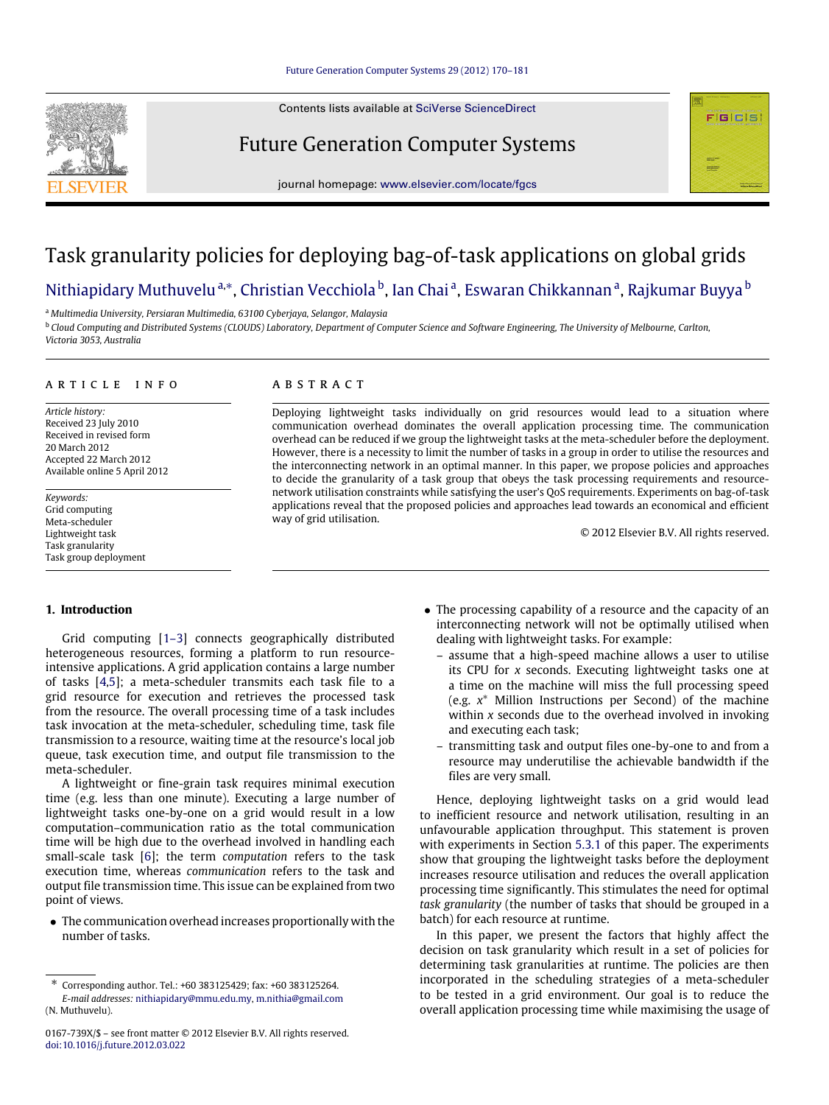## [Future Generation Computer Systems 29 \(2012\) 170–181](http://dx.doi.org/10.1016/j.future.2012.03.022)

Contents lists available at [SciVerse ScienceDirect](http://www.elsevier.com/locate/fgcs)

## Future Generation Computer Systems



# Task granularity policies for deploying bag-of-task applications on global grids

[Nithiapidary Muthuvelu](#page-11-0)<sup>[a,](#page-0-0)</sup>\*, [Christian Vecchiola](#page-11-1) <sup>[b](#page-0-2)</sup>, [Ian Chai](#page-11-2) ª, Esw[a](#page-0-0)ran Chikkannan ª, [Rajkumar Buyya](#page-11-4) <sup>b</sup>

<span id="page-0-0"></span><sup>a</sup> *Multimedia University, Persiaran Multimedia, 63100 Cyberjaya, Selangor, Malaysia*

<span id="page-0-2"></span><sup>b</sup> *Cloud Computing and Distributed Systems (CLOUDS) Laboratory, Department of Computer Science and Software Engineering, The University of Melbourne, Carlton, Victoria 3053, Australia*

#### a r t i c l e i n f o

*Article history:* Received 23 July 2010 Received in revised form 20 March 2012 Accepted 22 March 2012 Available online 5 April 2012

*Keywords:* Grid computing Meta-scheduler Lightweight task Task granularity Task group deployment

## a b s t r a c t

Deploying lightweight tasks individually on grid resources would lead to a situation where communication overhead dominates the overall application processing time. The communication overhead can be reduced if we group the lightweight tasks at the meta-scheduler before the deployment. However, there is a necessity to limit the number of tasks in a group in order to utilise the resources and the interconnecting network in an optimal manner. In this paper, we propose policies and approaches to decide the granularity of a task group that obeys the task processing requirements and resourcenetwork utilisation constraints while satisfying the user's QoS requirements. Experiments on bag-of-task applications reveal that the proposed policies and approaches lead towards an economical and efficient way of grid utilisation.

© 2012 Elsevier B.V. All rights reserved.

**F** GICIS

## **1. Introduction**

Grid computing [\[1–3\]](#page-10-0) connects geographically distributed heterogeneous resources, forming a platform to run resourceintensive applications. A grid application contains a large number of tasks [\[4](#page-10-1)[,5\]](#page-10-2); a meta-scheduler transmits each task file to a grid resource for execution and retrieves the processed task from the resource. The overall processing time of a task includes task invocation at the meta-scheduler, scheduling time, task file transmission to a resource, waiting time at the resource's local job queue, task execution time, and output file transmission to the meta-scheduler.

A lightweight or fine-grain task requires minimal execution time (e.g. less than one minute). Executing a large number of lightweight tasks one-by-one on a grid would result in a low computation–communication ratio as the total communication time will be high due to the overhead involved in handling each small-scale task [\[6\]](#page-10-3); the term *computation* refers to the task execution time, whereas *communication* refers to the task and output file transmission time. This issue can be explained from two point of views.

• The communication overhead increases proportionally with the number of tasks.

- The processing capability of a resource and the capacity of an interconnecting network will not be optimally utilised when dealing with lightweight tasks. For example:
	- assume that a high-speed machine allows a user to utilise its CPU for *x* seconds. Executing lightweight tasks one at a time on the machine will miss the full processing speed (e.g. *x* <sup>∗</sup> Million Instructions per Second) of the machine within *x* seconds due to the overhead involved in invoking and executing each task;
	- transmitting task and output files one-by-one to and from a resource may underutilise the achievable bandwidth if the files are very small.

Hence, deploying lightweight tasks on a grid would lead to inefficient resource and network utilisation, resulting in an unfavourable application throughput. This statement is proven with experiments in Section [5.3.1](#page-6-0) of this paper. The experiments show that grouping the lightweight tasks before the deployment increases resource utilisation and reduces the overall application processing time significantly. This stimulates the need for optimal *task granularity* (the number of tasks that should be grouped in a batch) for each resource at runtime.

In this paper, we present the factors that highly affect the decision on task granularity which result in a set of policies for determining task granularities at runtime. The policies are then incorporated in the scheduling strategies of a meta-scheduler to be tested in a grid environment. Our goal is to reduce the overall application processing time while maximising the usage of



<span id="page-0-1"></span><sup>∗</sup> Corresponding author. Tel.: +60 383125429; fax: +60 383125264. *E-mail addresses:* [nithiapidary@mmu.edu.my,](mailto:nithiapidary@mmu.edu.my) [m.nithia@gmail.com](mailto:m.nithia@gmail.com) (N. Muthuvelu).

<sup>0167-739</sup>X/\$ – see front matter © 2012 Elsevier B.V. All rights reserved. [doi:10.1016/j.future.2012.03.022](http://dx.doi.org/10.1016/j.future.2012.03.022)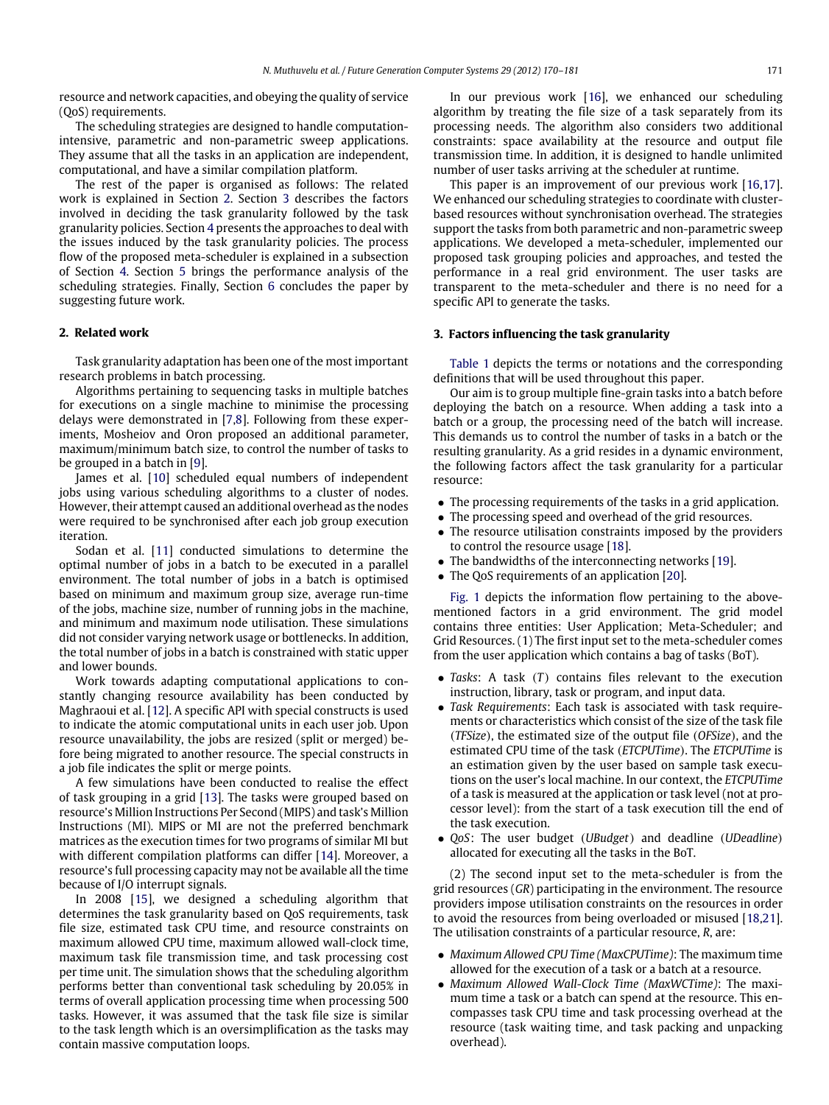resource and network capacities, and obeying the quality of service (QoS) requirements.

The scheduling strategies are designed to handle computationintensive, parametric and non-parametric sweep applications. They assume that all the tasks in an application are independent, computational, and have a similar compilation platform.

The rest of the paper is organised as follows: The related work is explained in Section [2.](#page-1-0) Section [3](#page-1-1) describes the factors involved in deciding the task granularity followed by the task granularity policies. Section [4](#page-3-0) presents the approaches to deal with the issues induced by the task granularity policies. The process flow of the proposed meta-scheduler is explained in a subsection of Section [4.](#page-3-0) Section [5](#page-6-1) brings the performance analysis of the scheduling strategies. Finally, Section [6](#page-10-4) concludes the paper by suggesting future work.

#### <span id="page-1-0"></span>**2. Related work**

Task granularity adaptation has been one of the most important research problems in batch processing.

Algorithms pertaining to sequencing tasks in multiple batches for executions on a single machine to minimise the processing delays were demonstrated in [\[7](#page-10-5)[,8\]](#page-10-6). Following from these experiments, Mosheiov and Oron proposed an additional parameter, maximum/minimum batch size, to control the number of tasks to be grouped in a batch in [\[9\]](#page-10-7).

James et al. [\[10\]](#page-10-8) scheduled equal numbers of independent jobs using various scheduling algorithms to a cluster of nodes. However, their attempt caused an additional overhead as the nodes were required to be synchronised after each job group execution iteration.

Sodan et al. [\[11\]](#page-10-9) conducted simulations to determine the optimal number of jobs in a batch to be executed in a parallel environment. The total number of jobs in a batch is optimised based on minimum and maximum group size, average run-time of the jobs, machine size, number of running jobs in the machine, and minimum and maximum node utilisation. These simulations did not consider varying network usage or bottlenecks. In addition, the total number of jobs in a batch is constrained with static upper and lower bounds.

Work towards adapting computational applications to constantly changing resource availability has been conducted by Maghraoui et al. [\[12\]](#page-10-10). A specific API with special constructs is used to indicate the atomic computational units in each user job. Upon resource unavailability, the jobs are resized (split or merged) before being migrated to another resource. The special constructs in a job file indicates the split or merge points.

A few simulations have been conducted to realise the effect of task grouping in a grid [\[13\]](#page-10-11). The tasks were grouped based on resource's Million Instructions Per Second (MIPS) and task's Million Instructions (MI). MIPS or MI are not the preferred benchmark matrices as the execution times for two programs of similar MI but with different compilation platforms can differ [\[14\]](#page-10-12). Moreover, a resource's full processing capacity may not be available all the time because of I/O interrupt signals.

In 2008 [\[15\]](#page-10-13), we designed a scheduling algorithm that determines the task granularity based on QoS requirements, task file size, estimated task CPU time, and resource constraints on maximum allowed CPU time, maximum allowed wall-clock time, maximum task file transmission time, and task processing cost per time unit. The simulation shows that the scheduling algorithm performs better than conventional task scheduling by 20.05% in terms of overall application processing time when processing 500 tasks. However, it was assumed that the task file size is similar to the task length which is an oversimplification as the tasks may contain massive computation loops.

In our previous work [\[16\]](#page-10-14), we enhanced our scheduling algorithm by treating the file size of a task separately from its processing needs. The algorithm also considers two additional constraints: space availability at the resource and output file transmission time. In addition, it is designed to handle unlimited number of user tasks arriving at the scheduler at runtime.

This paper is an improvement of our previous work [\[16](#page-10-14)[,17\]](#page-10-15). We enhanced our scheduling strategies to coordinate with clusterbased resources without synchronisation overhead. The strategies support the tasks from both parametric and non-parametric sweep applications. We developed a meta-scheduler, implemented our proposed task grouping policies and approaches, and tested the performance in a real grid environment. The user tasks are transparent to the meta-scheduler and there is no need for a specific API to generate the tasks.

#### <span id="page-1-1"></span>**3. Factors influencing the task granularity**

[Table 1](#page-2-0) depicts the terms or notations and the corresponding definitions that will be used throughout this paper.

Our aim is to group multiple fine-grain tasks into a batch before deploying the batch on a resource. When adding a task into a batch or a group, the processing need of the batch will increase. This demands us to control the number of tasks in a batch or the resulting granularity. As a grid resides in a dynamic environment, the following factors affect the task granularity for a particular resource:

- The processing requirements of the tasks in a grid application.
- The processing speed and overhead of the grid resources.
- The resource utilisation constraints imposed by the providers to control the resource usage [\[18\]](#page-10-16).
- The bandwidths of the interconnecting networks [\[19\]](#page-10-17).
- The QoS requirements of an application [\[20\]](#page-10-18).

[Fig. 1](#page-3-1) depicts the information flow pertaining to the abovementioned factors in a grid environment. The grid model contains three entities: User Application; Meta-Scheduler; and Grid Resources. (1) The first input set to the meta-scheduler comes from the user application which contains a bag of tasks (BoT).

- *Tasks*: A task (*T* ) contains files relevant to the execution instruction, library, task or program, and input data.
- *Task Requirements*: Each task is associated with task requirements or characteristics which consist of the size of the task file (*TFSize*), the estimated size of the output file (*OFSize*), and the estimated CPU time of the task (*ETCPUTime*). The *ETCPUTime* is an estimation given by the user based on sample task executions on the user's local machine. In our context, the *ETCPUTime* of a task is measured at the application or task level (not at processor level): from the start of a task execution till the end of the task execution.
- *QoS*: The user budget (*UBudget*) and deadline (*UDeadline*) allocated for executing all the tasks in the BoT.

(2) The second input set to the meta-scheduler is from the grid resources (*GR*) participating in the environment. The resource providers impose utilisation constraints on the resources in order to avoid the resources from being overloaded or misused [\[18](#page-10-16)[,21\]](#page-10-19). The utilisation constraints of a particular resource, *R*, are:

- *Maximum Allowed CPU Time (MaxCPUTime)*: The maximum time allowed for the execution of a task or a batch at a resource.
- *Maximum Allowed Wall-Clock Time (MaxWCTime)*: The maximum time a task or a batch can spend at the resource. This encompasses task CPU time and task processing overhead at the resource (task waiting time, and task packing and unpacking overhead).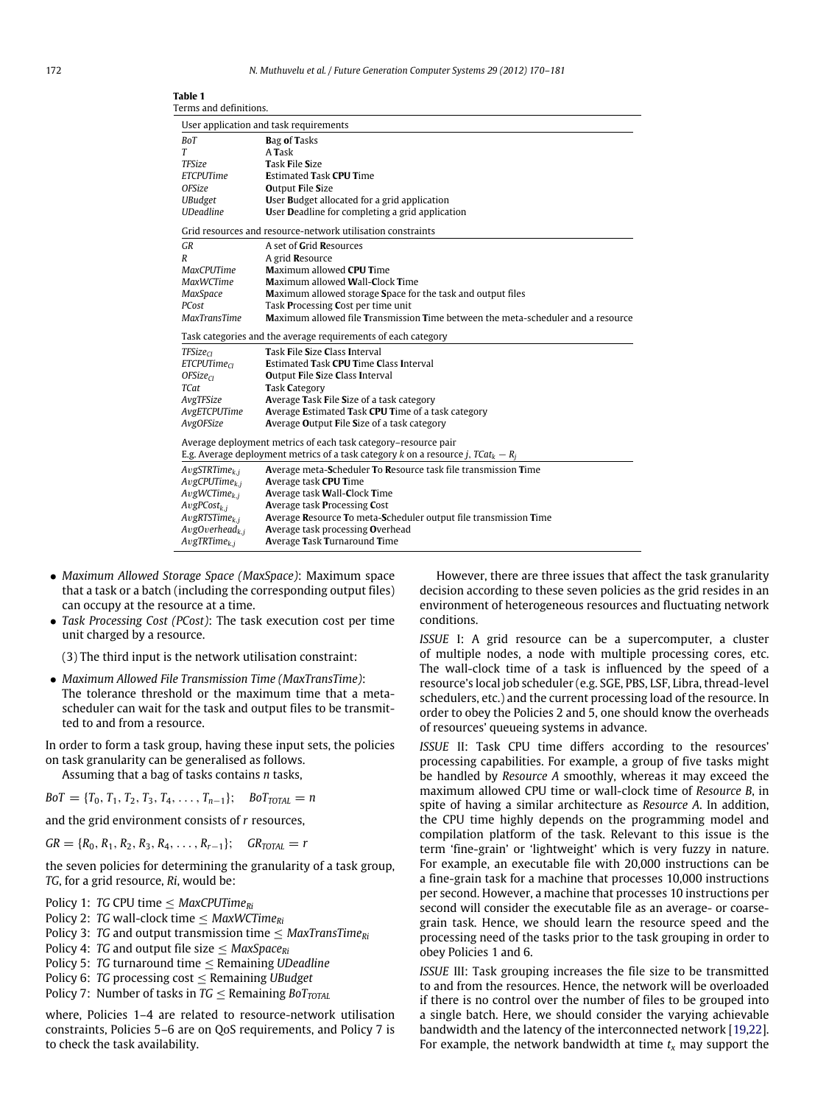| erms and definitions.                                                                |
|--------------------------------------------------------------------------------------|
| User application and task requirements                                               |
| <b>Bag of Tasks</b>                                                                  |
| A Task                                                                               |
| <b>Task File Size</b>                                                                |
| <b>Estimated Task CPU Time</b>                                                       |
| <b>Output File Size</b>                                                              |
| User Budget allocated for a grid application                                         |
| User Deadline for completing a grid application                                      |
| Grid resources and resource-network utilisation constraints                          |
| A set of Grid Resources                                                              |
| A grid Resource                                                                      |
| <b>Maximum allowed CPU Time</b>                                                      |
| Maximum allowed Wall-Clock Time                                                      |
| Maximum allowed storage Space for the task and output files                          |
| Task Processing Cost per time unit                                                   |
| Maximum allowed file Transmission Time between the meta-scheduler and a resource     |
| Task categories and the average requirements of each category                        |
| <b>Task File Size Class Interval</b>                                                 |
| <b>Estimated Task CPU Time Class Interval</b>                                        |
| <b>Output File Size Class Interval</b>                                               |
| <b>Task Category</b>                                                                 |
| Average Task File Size of a task category                                            |
| Average Estimated Task CPU Time of a task category                                   |
| Average Output File Size of a task category                                          |
| Average deployment metrics of each task category-resource pair                       |
| E.g. Average deployment metrics of a task category k on a resource j, $TCat_k - R_i$ |
| Average meta-Scheduler To Resource task file transmission Time                       |
| Average task CPU Time                                                                |
|                                                                                      |
| Average task Wall-Clock Time                                                         |
| <b>Average task Processing Cost</b>                                                  |
| Average Resource To meta-Scheduler output file transmission Time                     |
| Average task processing Overhead                                                     |
|                                                                                      |

<span id="page-2-0"></span>**Table 1 Table 1**<br>Terms and definition

- *Maximum Allowed Storage Space (MaxSpace)*: Maximum space that a task or a batch (including the corresponding output files) can occupy at the resource at a time.
- *Task Processing Cost (PCost)*: The task execution cost per time unit charged by a resource.

(3) The third input is the network utilisation constraint:

• *Maximum Allowed File Transmission Time (MaxTransTime)*: The tolerance threshold or the maximum time that a metascheduler can wait for the task and output files to be transmitted to and from a resource.

In order to form a task group, having these input sets, the policies on task granularity can be generalised as follows.

Assuming that a bag of tasks contains *n* tasks,

 $B \circ T = \{T_0, T_1, T_2, T_3, T_4, \ldots, T_{n-1}\}; \quad B \circ T_{T \circ T A L} = n$ 

and the grid environment consists of *r* resources,

 $GR = \{R_0, R_1, R_2, R_3, R_4, \ldots, R_{r-1}\}; \quad GR_{\text{TOTAL}} = r$ 

the seven policies for determining the granularity of a task group, *TG*, for a grid resource, *Ri*, would be:

- Policy 1: *TG* CPU time ≤ *MaxCPUTimeRi*
- Policy 2: *TG* wall-clock time  $\leq$  *MaxWCTime*<sub>*Ri*</sub>
- Policy 3: *TG* and output transmission time  $\leq$  *MaxTransTime*<sub>*Ri*</sub>
- Policy 4: *TG* and output file size  $\leq$  *MaxSpace*<sub>*Ri*</sub>
- Policy 5: *TG* turnaround time ≤ Remaining *UDeadline*
- Policy 6: *TG* processing cost ≤ Remaining *UBudget*
- Policy 7: Number of tasks in  $TG \leq$  Remaining  $B\sigma T_{TOTAL}$

where, Policies 1–4 are related to resource-network utilisation constraints, Policies 5–6 are on QoS requirements, and Policy 7 is to check the task availability.

However, there are three issues that affect the task granularity decision according to these seven policies as the grid resides in an environment of heterogeneous resources and fluctuating network conditions.

*ISSUE* I: A grid resource can be a supercomputer, a cluster of multiple nodes, a node with multiple processing cores, etc. The wall-clock time of a task is influenced by the speed of a resource's local job scheduler (e.g. SGE, PBS, LSF, Libra, thread-level schedulers, etc.) and the current processing load of the resource. In order to obey the Policies 2 and 5, one should know the overheads of resources' queueing systems in advance.

*ISSUE* II: Task CPU time differs according to the resources' processing capabilities. For example, a group of five tasks might be handled by *Resource A* smoothly, whereas it may exceed the maximum allowed CPU time or wall-clock time of *Resource B*, in spite of having a similar architecture as *Resource A*. In addition, the CPU time highly depends on the programming model and compilation platform of the task. Relevant to this issue is the term 'fine-grain' or 'lightweight' which is very fuzzy in nature. For example, an executable file with 20,000 instructions can be a fine-grain task for a machine that processes 10,000 instructions per second. However, a machine that processes 10 instructions per second will consider the executable file as an average- or coarsegrain task. Hence, we should learn the resource speed and the processing need of the tasks prior to the task grouping in order to obey Policies 1 and 6.

*ISSUE* III: Task grouping increases the file size to be transmitted to and from the resources. Hence, the network will be overloaded if there is no control over the number of files to be grouped into a single batch. Here, we should consider the varying achievable bandwidth and the latency of the interconnected network [\[19](#page-10-17)[,22\]](#page-10-20). For example, the network bandwidth at time *t<sup>x</sup>* may support the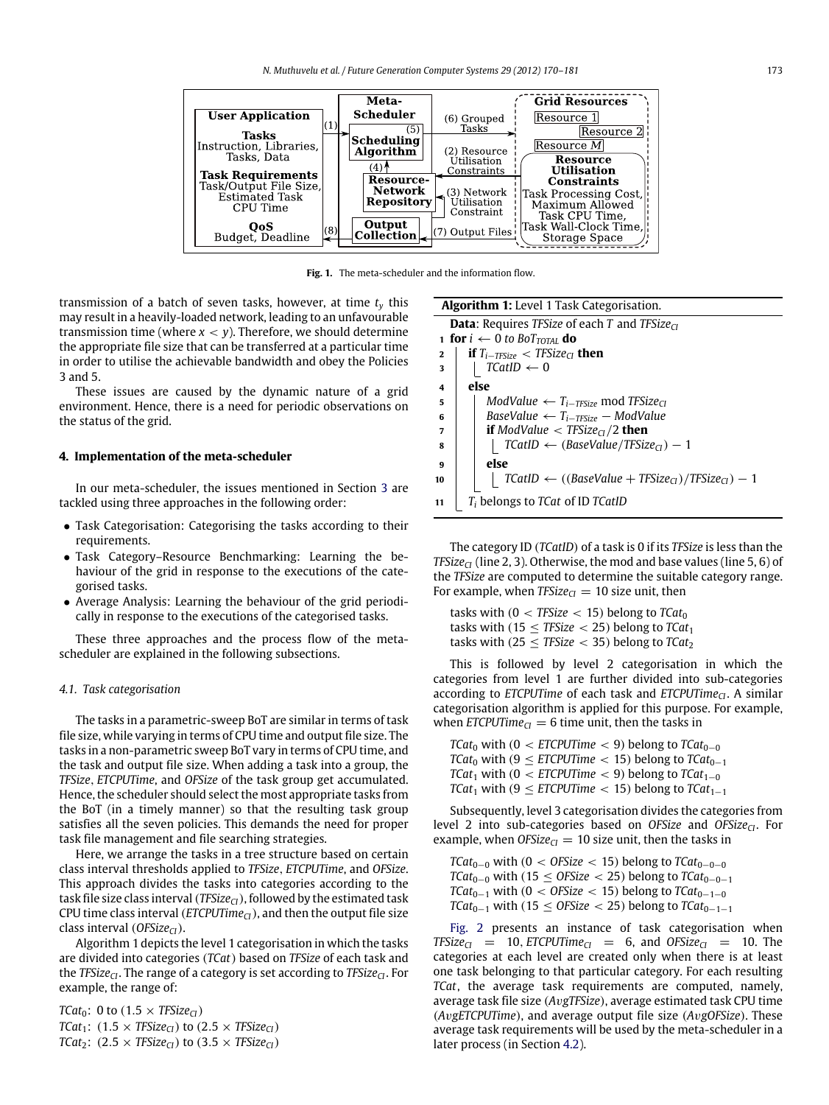<span id="page-3-1"></span>

**Fig. 1.** The meta-scheduler and the information flow.

transmission of a batch of seven tasks, however, at time *t<sup>y</sup>* this may result in a heavily-loaded network, leading to an unfavourable transmission time (where  $x < v$ ). Therefore, we should determine the appropriate file size that can be transferred at a particular time in order to utilise the achievable bandwidth and obey the Policies 3 and 5.

These issues are caused by the dynamic nature of a grid environment. Hence, there is a need for periodic observations on the status of the grid.

## <span id="page-3-0"></span>**4. Implementation of the meta-scheduler**

In our meta-scheduler, the issues mentioned in Section [3](#page-1-1) are tackled using three approaches in the following order:

- Task Categorisation: Categorising the tasks according to their requirements.
- Task Category–Resource Benchmarking: Learning the behaviour of the grid in response to the executions of the categorised tasks.
- Average Analysis: Learning the behaviour of the grid periodically in response to the executions of the categorised tasks.

These three approaches and the process flow of the metascheduler are explained in the following subsections.

#### <span id="page-3-2"></span>*4.1. Task categorisation*

The tasks in a parametric-sweep BoT are similar in terms of task file size, while varying in terms of CPU time and output file size. The tasks in a non-parametric sweep BoT vary in terms of CPU time, and the task and output file size. When adding a task into a group, the *TFSize*, *ETCPUTime*, and *OFSize* of the task group get accumulated. Hence, the scheduler should select the most appropriate tasks from the BoT (in a timely manner) so that the resulting task group satisfies all the seven policies. This demands the need for proper task file management and file searching strategies.

Here, we arrange the tasks in a tree structure based on certain class interval thresholds applied to *TFSize*, *ETCPUTime*, and *OFSize*. This approach divides the tasks into categories according to the task file size class interval(*TFSizeCI*), followed by the estimated task CPU time class interval(*ETCPUTimeCI*), and then the output file size class interval (*OFSize<sub>CI</sub>*).

Algorithm 1 depicts the level 1 categorisation in which the tasks are divided into categories (*TCat*) based on *TFSize* of each task and the *TFSizeCI* . The range of a category is set according to *TFSizeCI* . For example, the range of:

*TCat*<sup>0</sup>: 0 to (1.5  $\times$  *TFSize*<sub>*CI*</sub></sub>) *TCat*<sub>1</sub>:  $(1.5 \times TFSize_{Cl})$  to  $(2.5 \times TFSize_{Cl})$ *TCat*<sub>2</sub>: (2.5  $\times$  *TFSize*<sub>*CI*</sub></sub>) to (3.5  $\times$  *TFSize*<sub>*CI*</sub></sub>)

| <b>Algorithm 1:</b> Level 1 Task Categorisation. |                                                                          |  |  |  |  |  |
|--------------------------------------------------|--------------------------------------------------------------------------|--|--|--|--|--|
|                                                  | <b>Data:</b> Requires <i>TFSize</i> of each T and <i>TFSize</i> $\alpha$ |  |  |  |  |  |
|                                                  | <b>1 for</b> $i \leftarrow 0$ to BoT <sub>TOTAI</sub> <b>do</b>          |  |  |  |  |  |
| 2                                                | <b>if</b> $T_{i=TFSize}$ < TFSize <sub>CI</sub> then                     |  |  |  |  |  |
| 3                                                | $TCatID \leftarrow 0$                                                    |  |  |  |  |  |
| 4                                                | else                                                                     |  |  |  |  |  |
| 5                                                | ModValue $\leftarrow T_{i=TFSize}$ mod TFSize <sub>CI</sub>              |  |  |  |  |  |
| 6                                                | BaseValue $\leftarrow T_{i - TFSize} - ModValue$                         |  |  |  |  |  |
| 7                                                | <b>if</b> ModValue $\langle$ TFSize <sub>CL</sub> /2 <b>then</b>         |  |  |  |  |  |
| я                                                | $TCatID \leftarrow (BaseValue/TFSize_{CI}) - 1$                          |  |  |  |  |  |
| 9                                                | else                                                                     |  |  |  |  |  |
| 10                                               | $TCatID \leftarrow ((BaseValue + TFSize_{CI})/TFSize_{CI}) - 1$          |  |  |  |  |  |
| 11                                               | $T_i$ belongs to TCat of ID TCatID                                       |  |  |  |  |  |

The category ID (*TCatID*) of a task is 0 if its *TFSize* is less than the *TFSizeCI* (line 2, 3). Otherwise, the mod and base values (line 5, 6) of the *TFSize* are computed to determine the suitable category range. For example, when *TFSize* $C_I = 10$  size unit, then

```
tasks with (0 < TFSize < 15) belong to TCat<sub>0</sub>tasks with (15 \leq TFSize < 25) belong to TCat_1tasks with (25 \leq TFSize < 35) belong to TCat_2
```
This is followed by level 2 categorisation in which the categories from level 1 are further divided into sub-categories according to *ETCPUTime* of each task and *ETCPUTime*<sub>*CI*</sub>. A similar categorisation algorithm is applied for this purpose. For example, when *ETCPUTime* $C_I = 6$  time unit, then the tasks in

```
TCat<sup>0</sup> with (0 < ETCPUTime < 9) belong to TCat_{0-0}TCat<sup>0</sup> with (9 \leq ETCPUTime < 15) belong to TCat<sup>0−1</sup>
TCat<sub>1</sub> with (0 < ETCPUTime < 9) belong to TCat_{1-0}TCat<sub>1</sub> with (9 \leq ETCPUTime < 15) belong to TCat<sub>1−1</sub>
```
Subsequently, level 3 categorisation divides the categories from level 2 into sub-categories based on *OFSize* and *OFSize* $G$ . For example, when *OFSize* $C_I = 10$  size unit, then the tasks in

*TCat*<sub>0−0</sub> with (0 < *OFSize* < 15) belong to *TCat*<sub>0−0−0</sub> *TCat*<sub>0−0</sub> with (15 ≤ *OFSize* < 25) belong to  $TCat_{0-0-1}$  $TCat_{0-1}$  with (0 < *OFSize* < 15) belong to  $TCat_{0-1-0}$ *TCat*<sub>0−1</sub> with (15  $\leq$  *OFSize* < 25) belong to *TCat*<sub>0−1−1</sub>

[Fig. 2](#page-4-0) presents an instance of task categorisation when  $TFSize_{CI}$  = 10, *ETCPUTime<sub>CI</sub>* = 6, and *OFSize<sub>CI</sub>* = 10. The categories at each level are created only when there is at least one task belonging to that particular category. For each resulting *TCat*, the average task requirements are computed, namely, average task file size (*A*v*gTFSize*), average estimated task CPU time (*A*v*gETCPUTime*), and average output file size (*A*v*gOFSize*). These average task requirements will be used by the meta-scheduler in a later process (in Section [4.2\)](#page-4-1).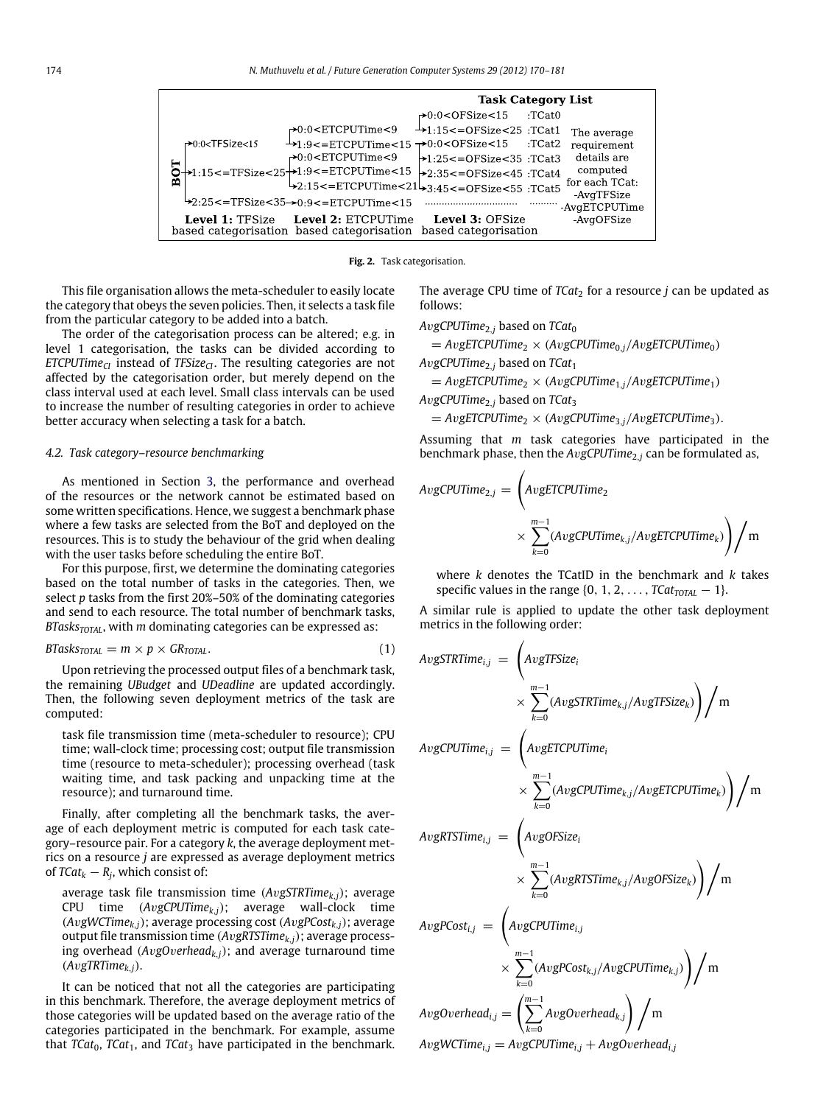<span id="page-4-0"></span>

**Fig. 2.** Task categorisation.

This file organisation allows the meta-scheduler to easily locate the category that obeys the seven policies. Then, it selects a task file from the particular category to be added into a batch.

The order of the categorisation process can be altered; e.g. in level 1 categorisation, the tasks can be divided according to *ETCPUTime<sub>CI</sub>* instead of *TFSize<sub>CI</sub>*. The resulting categories are not affected by the categorisation order, but merely depend on the class interval used at each level. Small class intervals can be used to increase the number of resulting categories in order to achieve better accuracy when selecting a task for a batch.

## <span id="page-4-1"></span>*4.2. Task category–resource benchmarking*

As mentioned in Section [3,](#page-1-1) the performance and overhead of the resources or the network cannot be estimated based on some written specifications. Hence, we suggest a benchmark phase where a few tasks are selected from the BoT and deployed on the resources. This is to study the behaviour of the grid when dealing with the user tasks before scheduling the entire BoT.

For this purpose, first, we determine the dominating categories based on the total number of tasks in the categories. Then, we select *p* tasks from the first 20%–50% of the dominating categories and send to each resource. The total number of benchmark tasks, *BTasksTOTAL*, with *m* dominating categories can be expressed as:

$$
BTasks_{TOTAL} = m \times p \times GR_{TOTAL}.
$$
 (1)

Upon retrieving the processed output files of a benchmark task, the remaining *UBudget* and *UDeadline* are updated accordingly. Then, the following seven deployment metrics of the task are computed:

task file transmission time (meta-scheduler to resource); CPU time; wall-clock time; processing cost; output file transmission time (resource to meta-scheduler); processing overhead (task waiting time, and task packing and unpacking time at the resource); and turnaround time.

Finally, after completing all the benchmark tasks, the average of each deployment metric is computed for each task category–resource pair. For a category *k*, the average deployment metrics on a resource *j* are expressed as average deployment metrics of  $TCat_k - R_j$ , which consist of:

average task file transmission time (*A*v*gSTRTimek*,*j*); average CPU time (*A*v*gCPUTimek*,*j*); average wall-clock time (*A*v*gWCTimek*,*j*); average processing cost (*A*v*gPCostk*,*j*); average output file transmission time (*A*v*gRTSTimek*,*j*); average processing overhead (*A*v*gO*v*erheadk*,*j*); and average turnaround time (*A*v*gTRTimek*,*j*).

It can be noticed that not all the categories are participating in this benchmark. Therefore, the average deployment metrics of those categories will be updated based on the average ratio of the categories participated in the benchmark. For example, assume that  $TCat_0$ ,  $TCat_1$ , and  $TCat_3$  have participated in the benchmark. The average CPU time of  $TCat_2$  for a resource  $j$  can be updated as follows:

$$
AvgCPUTime_{2,j}
$$
 based on  $TCat_0$ 

 $=$  *AvgETCPUTime*<sub>2</sub> × (*AvgCPUTime*<sub>0,*j*</sub>/*AvgETCPUTime*<sub>0</sub>)

*A*v*gCPUTime*2,*<sup>j</sup>* based on *TCat*<sup>1</sup>

 $=$  *AvgETCPUTime*<sub>2</sub> × (*AvgCPUTime*<sub>1,j</sub>/*AvgETCPUTime*<sub>1</sub>)

*A*v*gCPUTime*2,*<sup>j</sup>* based on *TCat*<sup>3</sup>

 $=$  *AvgETCPUTime*<sub>2</sub> × (*AvgCPUTime*<sub>3</sub>*,j*</sub>/*AvgETCPUTime*<sub>3</sub>*)*.

Assuming that *m* task categories have participated in the benchmark phase, then the *A*v*gCPUTime*2,*<sup>j</sup>* can be formulated as,

$$
AvgCPUTime_{2,j} = \left(AvgETCPUTime_{2} \times \sum_{k=0}^{m-1} (AvgCPUTime_{k,j}/AvgETCPUTime_{k})\right) / m
$$

where *k* denotes the TCatID in the benchmark and *k* takes specific values in the range  $\{0, 1, 2, \ldots, \text{TCat}_{\text{TOTAL}} - 1\}.$ 

A similar rule is applied to update the other task deployment metrics in the following order:

$$
AvgSTRTime_{i,j} = \left(AvgTFSize_i
$$
\n
$$
\times \sum_{k=0}^{m-1} (AvgSTRTime_{k,j}/AvgTFSize_k) \right) / m
$$
\n
$$
AvgCPUTime_{i,j} = \left(AvgETCPUTime_i
$$
\n
$$
\times \sum_{k=0}^{m-1} (AvgCPUTime_{k,j}/AvgETCPUTime_k) \right) / m
$$
\n
$$
AvgRTSTime_{i,j} = \left(AvgOFSize_i
$$
\n
$$
\times \sum_{k=0}^{m-1} (AvgRTSTime_{k,j}/AvgOFSize_k) \right) / m
$$
\n
$$
AvgPCost_{i,j} = \left(AvgCPUTime_{i,j}
$$
\n
$$
\times \sum_{k=0}^{m-1} (AvgPCost_{k,j}/AvgCPUTime_{k,j}) \right) / m
$$
\n
$$
AvgOverhead_{i,j} = \left(\sum_{k=0}^{m-1} AvgOverhead_{k,j}\right) / m
$$

 $AvgWCTime$ <sup>*i*</sup>,*j* =  $AvgCPUTime$ <sup>*i*</sup>,*j* +  $AvgOverhead$ <sup>*i*</sup>,*j*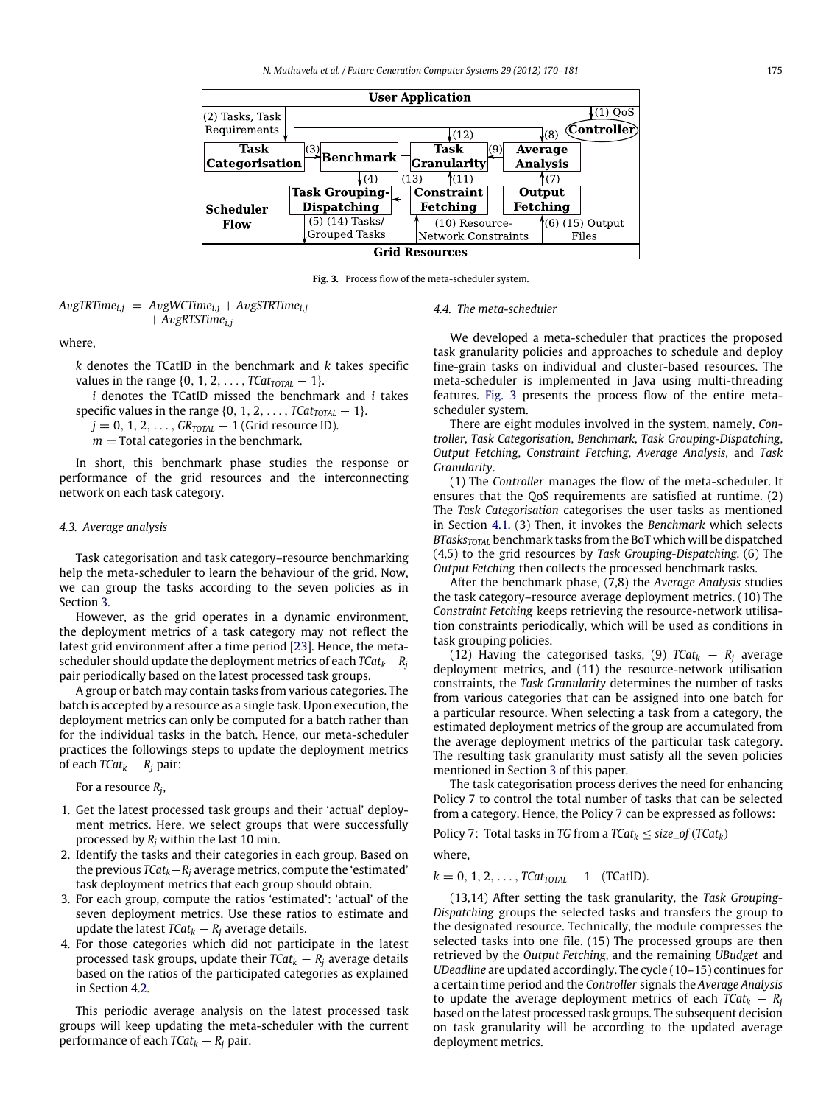<span id="page-5-0"></span>

**Fig. 3.** Process flow of the meta-scheduler system.

$$
AvgTRTime_{i,j} = AvgWCTime_{i,j} + AvgSTRTime_{i,j} + AvgSTRTime_{i,j}
$$

where,

*k* denotes the TCatID in the benchmark and *k* takes specific values in the range  $\{0, 1, 2, ..., TCat_{TOTAL} - 1\}$ .

*i* denotes the TCatID missed the benchmark and *i* takes specific values in the range  $\{0, 1, 2, \ldots, \text{TCat}_{\text{TOTAL}} - 1\}.$ 

 $j = 0, 1, 2, \ldots$ ,  $GR_{TOTAL} - 1$  (Grid resource ID).  $m =$  Total categories in the benchmark.

In short, this benchmark phase studies the response or performance of the grid resources and the interconnecting network on each task category.

#### *4.3. Average analysis*

Task categorisation and task category–resource benchmarking help the meta-scheduler to learn the behaviour of the grid. Now, we can group the tasks according to the seven policies as in Section [3.](#page-1-1)

However, as the grid operates in a dynamic environment, the deployment metrics of a task category may not reflect the latest grid environment after a time period [\[23\]](#page-10-21). Hence, the metascheduler should update the deployment metrics of each *TCatk*−*R<sup>j</sup>* pair periodically based on the latest processed task groups.

A group or batch may contain tasks from various categories. The batch is accepted by a resource as a single task. Upon execution, the deployment metrics can only be computed for a batch rather than for the individual tasks in the batch. Hence, our meta-scheduler practices the followings steps to update the deployment metrics of each  $TCat_k - R_i$  pair:

For a resource *R<sup>j</sup>* ,

- 1. Get the latest processed task groups and their 'actual' deployment metrics. Here, we select groups that were successfully processed by *R<sup>j</sup>* within the last 10 min.
- 2. Identify the tasks and their categories in each group. Based on the previous *TCatk*−*R<sup>j</sup>* average metrics, compute the 'estimated' task deployment metrics that each group should obtain.
- 3. For each group, compute the ratios 'estimated': 'actual' of the seven deployment metrics. Use these ratios to estimate and update the latest  $TCat_k - R_i$  average details.
- 4. For those categories which did not participate in the latest processed task groups, update their  $TCat_k - R_i$  average details based on the ratios of the participated categories as explained in Section [4.2.](#page-4-1)

This periodic average analysis on the latest processed task groups will keep updating the meta-scheduler with the current performance of each  $TCat_k - R_j$  pair.

#### *4.4. The meta-scheduler*

We developed a meta-scheduler that practices the proposed task granularity policies and approaches to schedule and deploy fine-grain tasks on individual and cluster-based resources. The meta-scheduler is implemented in Java using multi-threading features. [Fig. 3](#page-5-0) presents the process flow of the entire metascheduler system.

There are eight modules involved in the system, namely, *Controller*, *Task Categorisation*, *Benchmark*, *Task Grouping-Dispatching*, *Output Fetching*, *Constraint Fetching*, *Average Analysis*, and *Task Granularity*.

(1) The *Controller* manages the flow of the meta-scheduler. It ensures that the QoS requirements are satisfied at runtime. (2) The *Task Categorisation* categorises the user tasks as mentioned in Section [4.1.](#page-3-2) (3) Then, it invokes the *Benchmark* which selects *BTasksTOTAL* benchmark tasks from the BoT which will be dispatched (4,5) to the grid resources by *Task Grouping-Dispatching*. (6) The *Output Fetching* then collects the processed benchmark tasks.

After the benchmark phase, (7,8) the *Average Analysis* studies the task category–resource average deployment metrics. (10) The *Constraint Fetching* keeps retrieving the resource-network utilisation constraints periodically, which will be used as conditions in task grouping policies.

(12) Having the categorised tasks, (9)  $TCat_k - R_i$  average deployment metrics, and (11) the resource-network utilisation constraints, the *Task Granularity* determines the number of tasks from various categories that can be assigned into one batch for a particular resource. When selecting a task from a category, the estimated deployment metrics of the group are accumulated from the average deployment metrics of the particular task category. The resulting task granularity must satisfy all the seven policies mentioned in Section [3](#page-1-1) of this paper.

The task categorisation process derives the need for enhancing Policy 7 to control the total number of tasks that can be selected from a category. Hence, the Policy 7 can be expressed as follows:

Policy 7: Total tasks in *TG* from a  $TCat_k \leq size\_of(TCat_k)$ 

where,

 $k = 0, 1, 2, \ldots$ ,  $TCat_{TOTAL} - 1$  (TCatID).

(13,14) After setting the task granularity, the *Task Grouping-Dispatching* groups the selected tasks and transfers the group to the designated resource. Technically, the module compresses the selected tasks into one file. (15) The processed groups are then retrieved by the *Output Fetching*, and the remaining *UBudget* and *UDeadline* are updated accordingly. The cycle (10–15) continues for a certain time period and the *Controller* signals the *Average Analysis* to update the average deployment metrics of each  $TCat_k - R_j$ based on the latest processed task groups. The subsequent decision on task granularity will be according to the updated average deployment metrics.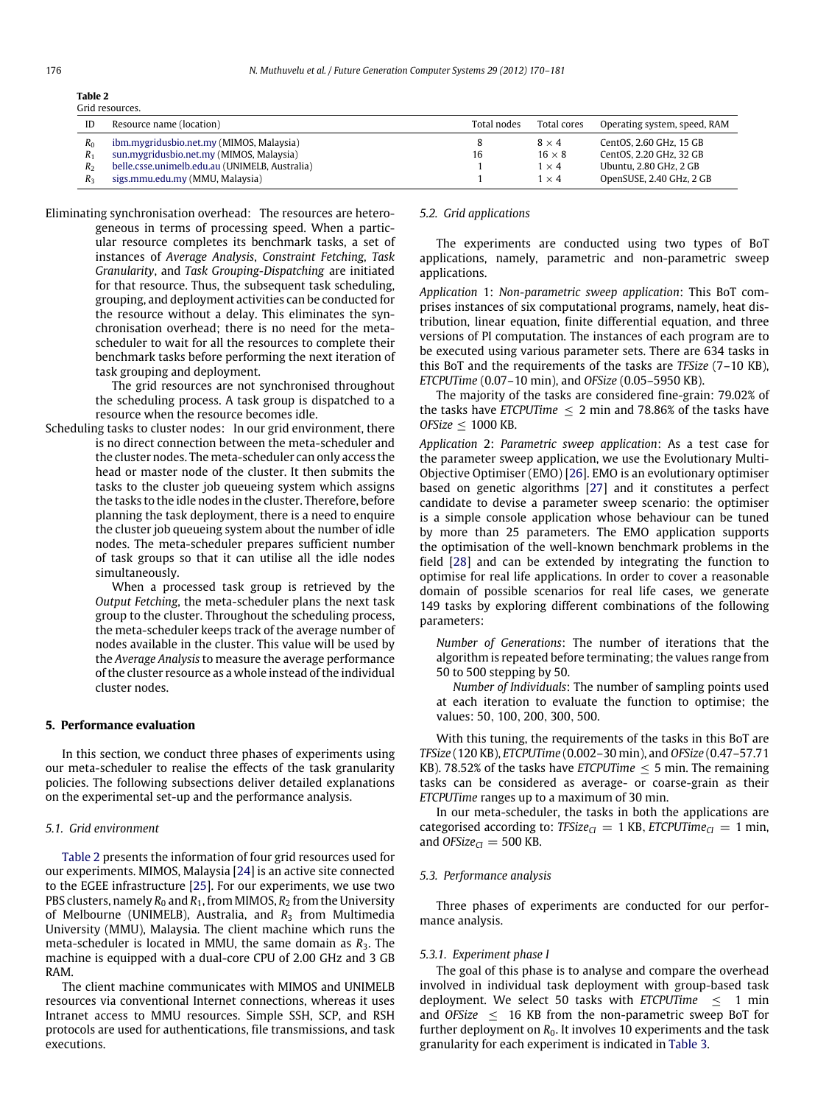<span id="page-6-2"></span>

| Grid resources. |                                                |             |               |                              |  |
|-----------------|------------------------------------------------|-------------|---------------|------------------------------|--|
| ID              | Resource name (location)                       | Total nodes | Total cores   | Operating system, speed, RAM |  |
| $R_0$           | ibm.mygridusbio.net.my (MIMOS, Malaysia)       |             | $8 \times 4$  | CentOS, 2.60 GHz, 15 GB      |  |
| $R_1$           | sun.mygridusbio.net.my (MIMOS, Malaysia)       | 16          | $16 \times 8$ | CentOS, 2.20 GHz, 32 GB      |  |
| $R_{2}$         | belle.csse.unimelb.edu.au (UNIMELB, Australia) |             | $1 \times 4$  | Ubuntu, 2.80 GHz, 2 GB       |  |
| $R_{3}$         | sigs.mmu.edu.my (MMU, Malaysia)                |             | $1 \times 4$  | OpenSUSE, 2.40 GHz, 2 GB     |  |

Eliminating synchronisation overhead: The resources are heterogeneous in terms of processing speed. When a particular resource completes its benchmark tasks, a set of instances of *Average Analysis*, *Constraint Fetching*, *Task Granularity*, and *Task Grouping-Dispatching* are initiated for that resource. Thus, the subsequent task scheduling, grouping, and deployment activities can be conducted for the resource without a delay. This eliminates the synchronisation overhead; there is no need for the metascheduler to wait for all the resources to complete their benchmark tasks before performing the next iteration of task grouping and deployment.

> The grid resources are not synchronised throughout the scheduling process. A task group is dispatched to a resource when the resource becomes idle.

Scheduling tasks to cluster nodes: In our grid environment, there is no direct connection between the meta-scheduler and the cluster nodes. The meta-scheduler can only access the head or master node of the cluster. It then submits the tasks to the cluster job queueing system which assigns the tasks to the idle nodes in the cluster. Therefore, before planning the task deployment, there is a need to enquire the cluster job queueing system about the number of idle nodes. The meta-scheduler prepares sufficient number of task groups so that it can utilise all the idle nodes simultaneously.

> When a processed task group is retrieved by the *Output Fetching*, the meta-scheduler plans the next task group to the cluster. Throughout the scheduling process, the meta-scheduler keeps track of the average number of nodes available in the cluster. This value will be used by the *Average Analysis* to measure the average performance of the cluster resource as a whole instead of the individual cluster nodes.

#### <span id="page-6-1"></span>**5. Performance evaluation**

In this section, we conduct three phases of experiments using our meta-scheduler to realise the effects of the task granularity policies. The following subsections deliver detailed explanations on the experimental set-up and the performance analysis.

## *5.1. Grid environment*

[Table 2](#page-6-2) presents the information of four grid resources used for our experiments. MIMOS, Malaysia [\[24\]](#page-10-22) is an active site connected to the EGEE infrastructure [\[25\]](#page-10-23). For our experiments, we use two PBS clusters, namely  $R_0$  and  $R_1$ , from MIMOS,  $R_2$  from the University of Melbourne (UNIMELB), Australia, and R<sub>3</sub> from Multimedia University (MMU), Malaysia. The client machine which runs the meta-scheduler is located in MMU, the same domain as *R*3. The machine is equipped with a dual-core CPU of 2.00 GHz and 3 GB RAM.

The client machine communicates with MIMOS and UNIMELB resources via conventional Internet connections, whereas it uses Intranet access to MMU resources. Simple SSH, SCP, and RSH protocols are used for authentications, file transmissions, and task executions.

#### <span id="page-6-3"></span>*5.2. Grid applications*

The experiments are conducted using two types of BoT applications, namely, parametric and non-parametric sweep applications.

*Application* 1: *Non-parametric sweep application*: This BoT comprises instances of six computational programs, namely, heat distribution, linear equation, finite differential equation, and three versions of PI computation. The instances of each program are to be executed using various parameter sets. There are 634 tasks in this BoT and the requirements of the tasks are *TFSize* (7–10 KB), *ETCPUTime* (0.07–10 min), and *OFSize* (0.05–5950 KB).

The majority of the tasks are considered fine-grain: 79.02% of the tasks have *ETCPUTime*  $\leq$  2 min and 78.86% of the tasks have *OFSize* ≤ 1000 KB.

*Application* 2: *Parametric sweep application*: As a test case for the parameter sweep application, we use the Evolutionary Multi-Objective Optimiser (EMO) [\[26\]](#page-10-24). EMO is an evolutionary optimiser based on genetic algorithms [\[27\]](#page-10-25) and it constitutes a perfect candidate to devise a parameter sweep scenario: the optimiser is a simple console application whose behaviour can be tuned by more than 25 parameters. The EMO application supports the optimisation of the well-known benchmark problems in the field [\[28\]](#page-11-5) and can be extended by integrating the function to optimise for real life applications. In order to cover a reasonable domain of possible scenarios for real life cases, we generate 149 tasks by exploring different combinations of the following parameters:

*Number of Generations*: The number of iterations that the algorithm is repeated before terminating; the values range from 50 to 500 stepping by 50.

*Number of Individuals*: The number of sampling points used at each iteration to evaluate the function to optimise; the values: 50, 100, 200, 300, 500.

With this tuning, the requirements of the tasks in this BoT are *TFSize* (120 KB), *ETCPUTime* (0.002–30 min), and *OFSize* (0.47–57.71 KB). 78.52% of the tasks have *ETCPUTime*  $\leq$  5 min. The remaining tasks can be considered as average- or coarse-grain as their *ETCPUTime* ranges up to a maximum of 30 min.

In our meta-scheduler, the tasks in both the applications are categorised according to: *TFSize* $_{CI}$  = 1 KB, *ETCPUTime* $_{CI}$  = 1 min, and *OFSize* $_{CI}$  = 500 KB.

#### *5.3. Performance analysis*

Three phases of experiments are conducted for our performance analysis.

#### <span id="page-6-0"></span>*5.3.1. Experiment phase I*

The goal of this phase is to analyse and compare the overhead involved in individual task deployment with group-based task deployment. We select 50 tasks with *ETCPUTime*  $\leq$  1 min and *OFSize*  $\leq$  16 KB from the non-parametric sweep BoT for further deployment on  $R_0$ . It involves 10 experiments and the task granularity for each experiment is indicated in [Table 3.](#page-7-0)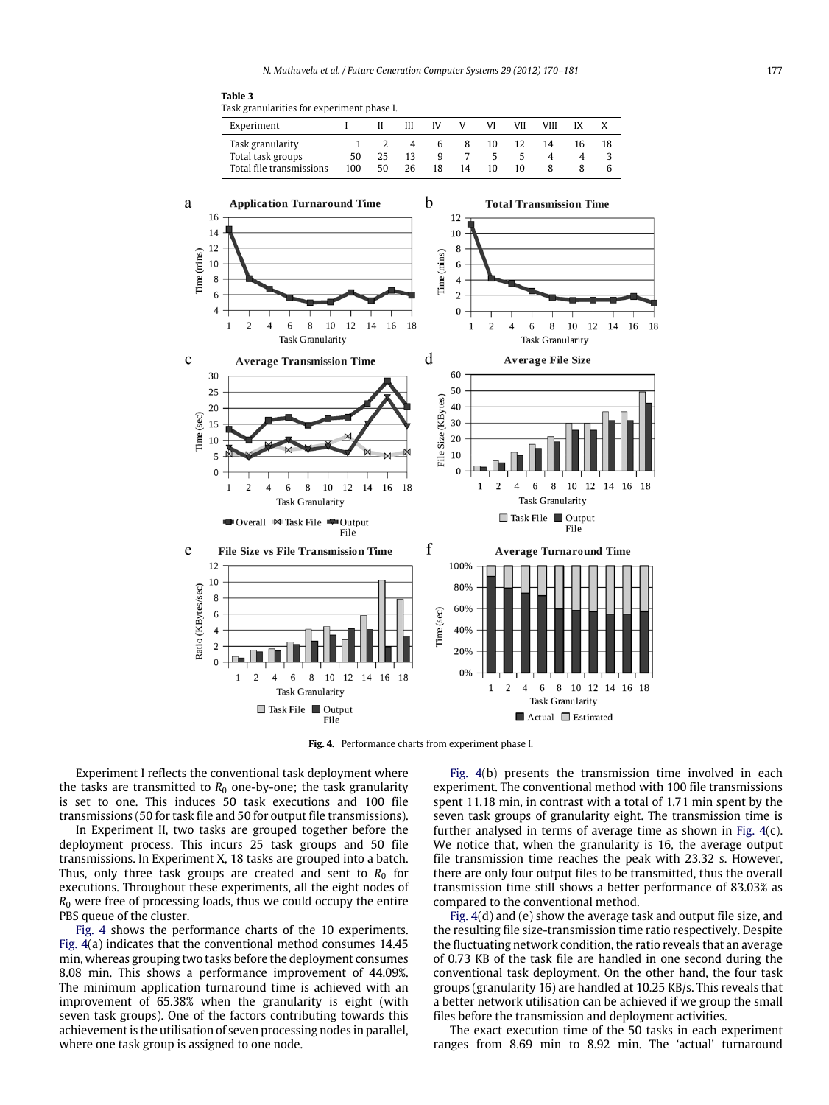<span id="page-7-1"></span><span id="page-7-0"></span>

**Fig. 4.** Performance charts from experiment phase I.

Experiment I reflects the conventional task deployment where the tasks are transmitted to  $R_0$  one-by-one; the task granularity is set to one. This induces 50 task executions and 100 file transmissions (50 for task file and 50 for output file transmissions).

In Experiment II, two tasks are grouped together before the deployment process. This incurs 25 task groups and 50 file transmissions. In Experiment X, 18 tasks are grouped into a batch. Thus, only three task groups are created and sent to  $R_0$  for executions. Throughout these experiments, all the eight nodes of  $R_0$  were free of processing loads, thus we could occupy the entire PBS queue of the cluster.

[Fig. 4](#page-7-1) shows the performance charts of the 10 experiments. [Fig. 4\(](#page-7-1)a) indicates that the conventional method consumes 14.45 min, whereas grouping two tasks before the deployment consumes 8.08 min. This shows a performance improvement of 44.09%. The minimum application turnaround time is achieved with an improvement of 65.38% when the granularity is eight (with seven task groups). One of the factors contributing towards this achievement is the utilisation of seven processing nodes in parallel, where one task group is assigned to one node.

[Fig. 4\(](#page-7-1)b) presents the transmission time involved in each experiment. The conventional method with 100 file transmissions spent 11.18 min, in contrast with a total of 1.71 min spent by the seven task groups of granularity eight. The transmission time is further analysed in terms of average time as shown in [Fig. 4\(](#page-7-1)c). We notice that, when the granularity is 16, the average output file transmission time reaches the peak with 23.32 s. However, there are only four output files to be transmitted, thus the overall transmission time still shows a better performance of 83.03% as compared to the conventional method.

[Fig. 4\(](#page-7-1)d) and (e) show the average task and output file size, and the resulting file size-transmission time ratio respectively. Despite the fluctuating network condition, the ratio reveals that an average of 0.73 KB of the task file are handled in one second during the conventional task deployment. On the other hand, the four task groups (granularity 16) are handled at 10.25 KB/s. This reveals that a better network utilisation can be achieved if we group the small files before the transmission and deployment activities.

The exact execution time of the 50 tasks in each experiment ranges from 8.69 min to 8.92 min. The 'actual' turnaround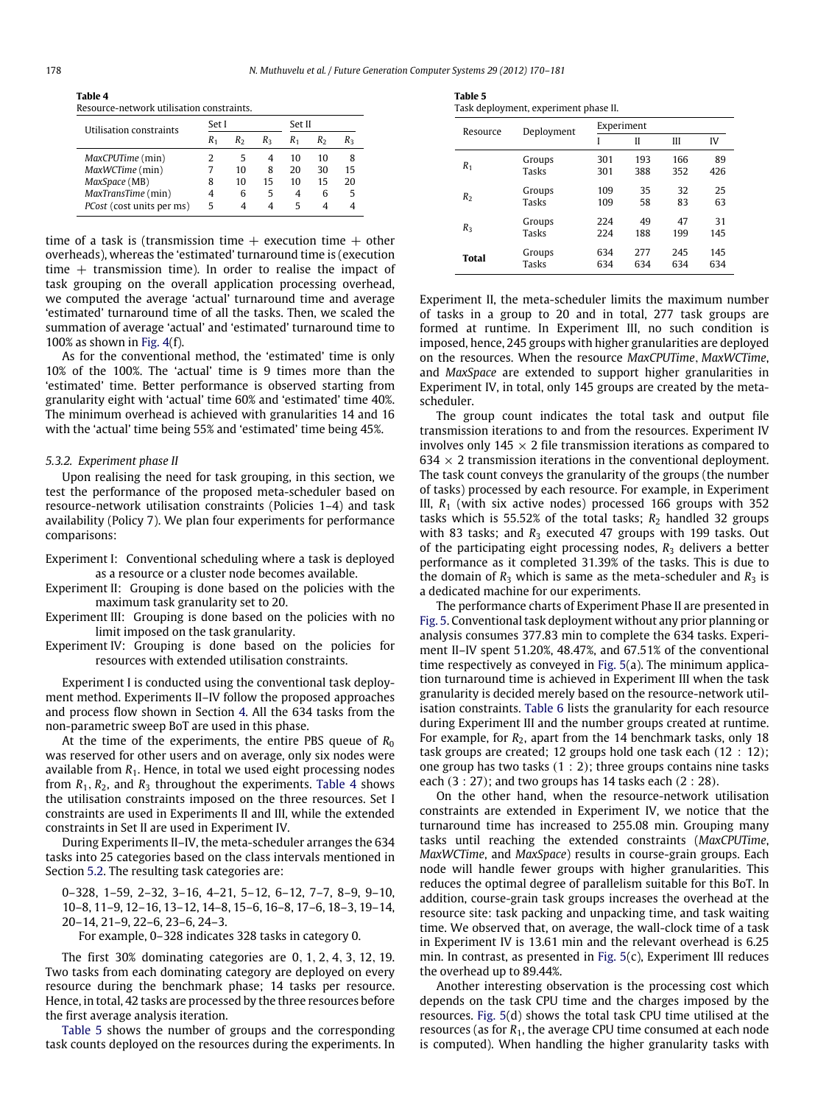<span id="page-8-0"></span>**Table 4** Resource-network utilisation constraints.

| Utilisation constraints   | Set I |    |         | Set II  |    |    |
|---------------------------|-------|----|---------|---------|----|----|
|                           | R1    | Rэ | $R_{2}$ | $R_{1}$ | Rэ | R2 |
| MaxCPUTime (min)          |       |    | 4       | 10      | 10 | 8  |
| MaxWCTime (min)           |       | 10 | 8       | 20      | 30 | 15 |
| MaxSpace (MB)             | 8     | 10 | 15      | 10      | 15 | ንበ |
| MaxTransTime (min)        |       | 6  | 5       | 4       | 6  |    |
| PCost (cost units per ms) | 5     |    |         | 5       |    |    |

time of a task is (transmission time + execution time + other overheads), whereas the 'estimated' turnaround time is (execution time  $+$  transmission time). In order to realise the impact of task grouping on the overall application processing overhead, we computed the average 'actual' turnaround time and average 'estimated' turnaround time of all the tasks. Then, we scaled the summation of average 'actual' and 'estimated' turnaround time to 100% as shown in [Fig. 4\(](#page-7-1)f).

As for the conventional method, the 'estimated' time is only 10% of the 100%. The 'actual' time is 9 times more than the 'estimated' time. Better performance is observed starting from granularity eight with 'actual' time 60% and 'estimated' time 40%. The minimum overhead is achieved with granularities 14 and 16 with the 'actual' time being 55% and 'estimated' time being 45%.

#### *5.3.2. Experiment phase II*

Upon realising the need for task grouping, in this section, we test the performance of the proposed meta-scheduler based on resource-network utilisation constraints (Policies 1–4) and task availability (Policy 7). We plan four experiments for performance comparisons:

- Experiment I: Conventional scheduling where a task is deployed as a resource or a cluster node becomes available.
- Experiment II: Grouping is done based on the policies with the maximum task granularity set to 20.
- Experiment III: Grouping is done based on the policies with no limit imposed on the task granularity.
- Experiment IV: Grouping is done based on the policies for resources with extended utilisation constraints.

Experiment I is conducted using the conventional task deployment method. Experiments II–IV follow the proposed approaches and process flow shown in Section [4.](#page-3-0) All the 634 tasks from the non-parametric sweep BoT are used in this phase.

At the time of the experiments, the entire PBS queue of *R*<sup>0</sup> was reserved for other users and on average, only six nodes were available from  $R_1$ . Hence, in total we used eight processing nodes from  $R_1$ ,  $R_2$ , and  $R_3$  throughout the experiments. [Table 4](#page-8-0) shows the utilisation constraints imposed on the three resources. Set I constraints are used in Experiments II and III, while the extended constraints in Set II are used in Experiment IV.

During Experiments II–IV, the meta-scheduler arranges the 634 tasks into 25 categories based on the class intervals mentioned in Section [5.2.](#page-6-3) The resulting task categories are:

0–328, 1–59, 2–32, 3–16, 4–21, 5–12, 6–12, 7–7, 8–9, 9–10, 10–8, 11–9, 12–16, 13–12, 14–8, 15–6, 16–8, 17–6, 18–3, 19–14, 20–14, 21–9, 22–6, 23–6, 24–3.

For example, 0–328 indicates 328 tasks in category 0.

The first 30% dominating categories are 0, 1, 2, 4, 3, 12, 19. Two tasks from each dominating category are deployed on every resource during the benchmark phase; 14 tasks per resource. Hence, in total, 42 tasks are processed by the three resources before the first average analysis iteration.

[Table 5](#page-8-1) shows the number of groups and the corresponding task counts deployed on the resources during the experiments. In

<span id="page-8-1"></span>

| Table 5                               |
|---------------------------------------|
| Task deployment, experiment phase II. |

| Resource | Deployment |     | Experiment |     |     |  |
|----------|------------|-----|------------|-----|-----|--|
|          |            | I   | H          | Ш   | IV  |  |
| $R_1$    | Groups     | 301 | 193        | 166 | 89  |  |
|          | Tasks      | 301 | 388        | 352 | 426 |  |
| $R_{2}$  | Groups     | 109 | 35         | 32  | 25  |  |
|          | Tasks      | 109 | 58         | 83  | 63  |  |
| $R_{3}$  | Groups     | 224 | 49         | 47  | 31  |  |
|          | Tasks      | 224 | 188        | 199 | 145 |  |
| Total    | Groups     | 634 | 277        | 245 | 145 |  |
|          | Tasks      | 634 | 634        | 634 | 634 |  |

Experiment II, the meta-scheduler limits the maximum number of tasks in a group to 20 and in total, 277 task groups are formed at runtime. In Experiment III, no such condition is imposed, hence, 245 groups with higher granularities are deployed on the resources. When the resource *MaxCPUTime*, *MaxWCTime*, and *MaxSpace* are extended to support higher granularities in Experiment IV, in total, only 145 groups are created by the metascheduler.

The group count indicates the total task and output file transmission iterations to and from the resources. Experiment IV involves only 145  $\times$  2 file transmission iterations as compared to  $634 \times 2$  transmission iterations in the conventional deployment. The task count conveys the granularity of the groups (the number of tasks) processed by each resource. For example, in Experiment III,  $R_1$  (with six active nodes) processed 166 groups with 352 tasks which is 55.52% of the total tasks;  $R_2$  handled 32 groups with 83 tasks; and R<sub>3</sub> executed 47 groups with 199 tasks. Out of the participating eight processing nodes, *R*<sup>3</sup> delivers a better performance as it completed 31.39% of the tasks. This is due to the domain of  $R_3$  which is same as the meta-scheduler and  $R_3$  is a dedicated machine for our experiments.

The performance charts of Experiment Phase II are presented in [Fig. 5.](#page-9-0) Conventional task deployment without any prior planning or analysis consumes 377.83 min to complete the 634 tasks. Experiment II–IV spent 51.20%, 48.47%, and 67.51% of the conventional time respectively as conveyed in [Fig. 5\(](#page-9-0)a). The minimum application turnaround time is achieved in Experiment III when the task granularity is decided merely based on the resource-network utilisation constraints. [Table 6](#page-9-1) lists the granularity for each resource during Experiment III and the number groups created at runtime. For example, for  $R_2$ , apart from the 14 benchmark tasks, only 18 task groups are created; 12 groups hold one task each (12 : 12); one group has two tasks  $(1:2)$ ; three groups contains nine tasks each  $(3:27)$ ; and two groups has 14 tasks each  $(2:28)$ .

On the other hand, when the resource-network utilisation constraints are extended in Experiment IV, we notice that the turnaround time has increased to 255.08 min. Grouping many tasks until reaching the extended constraints (*MaxCPUTime*, *MaxWCTime*, and *MaxSpace*) results in course-grain groups. Each node will handle fewer groups with higher granularities. This reduces the optimal degree of parallelism suitable for this BoT. In addition, course-grain task groups increases the overhead at the resource site: task packing and unpacking time, and task waiting time. We observed that, on average, the wall-clock time of a task in Experiment IV is 13.61 min and the relevant overhead is 6.25 min. In contrast, as presented in [Fig. 5\(](#page-9-0)c), Experiment III reduces the overhead up to 89.44%.

Another interesting observation is the processing cost which depends on the task CPU time and the charges imposed by the resources. [Fig. 5\(](#page-9-0)d) shows the total task CPU time utilised at the resources (as for *R*1, the average CPU time consumed at each node is computed). When handling the higher granularity tasks with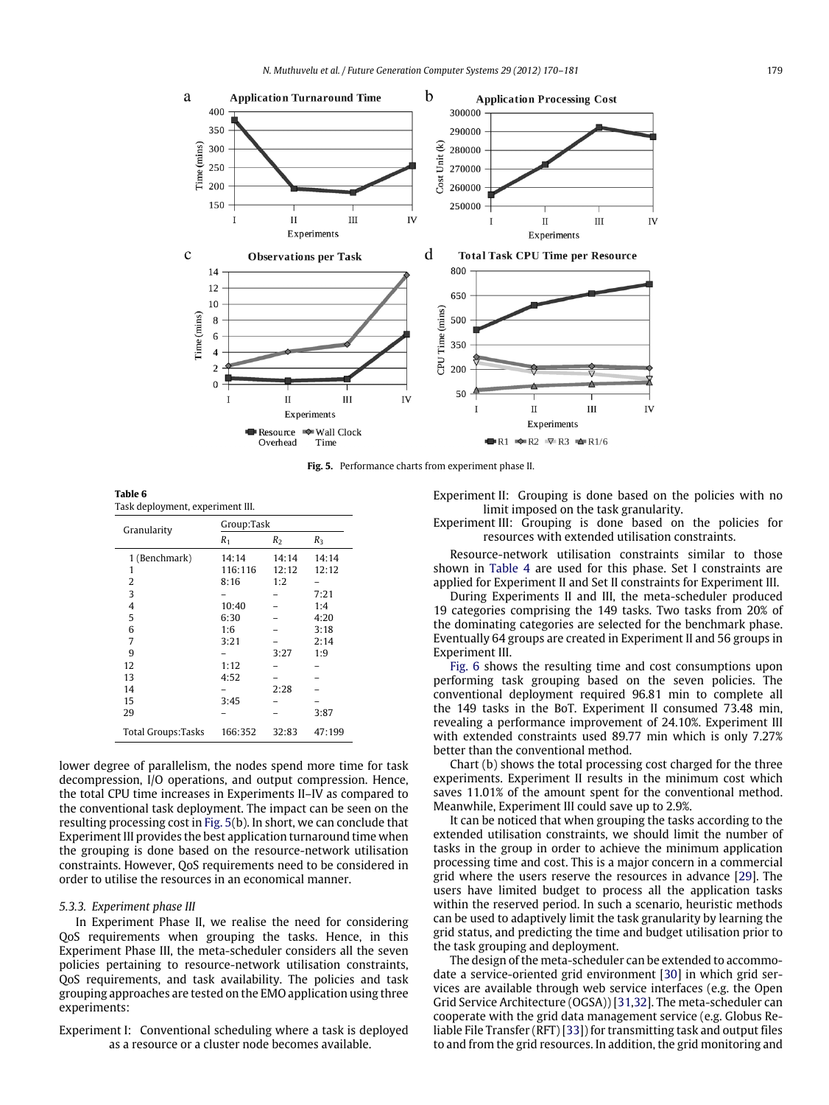<span id="page-9-0"></span>

**Fig. 5.** Performance charts from experiment phase II.

<span id="page-9-1"></span>**Table 6** Task deployment, experiment III.

| Granularity         | Group:Task                |       |         |  |  |
|---------------------|---------------------------|-------|---------|--|--|
|                     | R <sub>2</sub><br>$R_{1}$ |       | $R_{3}$ |  |  |
| 1 (Benchmark)       | 14:14                     | 14:14 | 14:14   |  |  |
| 1                   | 116:116                   | 12:12 | 12:12   |  |  |
| 2                   | 8:16                      | 1:2   |         |  |  |
| 3                   |                           |       | 7:21    |  |  |
| 4                   | 10:40                     |       | 1:4     |  |  |
| 5                   | 6:30                      |       | 4:20    |  |  |
| 6                   | 1:6                       |       | 3:18    |  |  |
| 7                   | 3:21                      |       | 2:14    |  |  |
| 9                   |                           | 3:27  | 1:9     |  |  |
| 12                  | 1:12                      |       |         |  |  |
| 13                  | 4:52                      |       |         |  |  |
| 14                  |                           | 2:28  |         |  |  |
| 15                  | 3:45                      |       |         |  |  |
| 29                  |                           |       | 3:87    |  |  |
| Total Groups: Tasks | 166:352                   | 32:83 | 47:199  |  |  |

lower degree of parallelism, the nodes spend more time for task decompression, I/O operations, and output compression. Hence, the total CPU time increases in Experiments II–IV as compared to the conventional task deployment. The impact can be seen on the resulting processing cost in [Fig. 5\(](#page-9-0)b). In short, we can conclude that Experiment III provides the best application turnaround time when the grouping is done based on the resource-network utilisation constraints. However, QoS requirements need to be considered in order to utilise the resources in an economical manner.

## *5.3.3. Experiment phase III*

In Experiment Phase II, we realise the need for considering QoS requirements when grouping the tasks. Hence, in this Experiment Phase III, the meta-scheduler considers all the seven policies pertaining to resource-network utilisation constraints, QoS requirements, and task availability. The policies and task grouping approaches are tested on the EMO application using three experiments:

Experiment I: Conventional scheduling where a task is deployed as a resource or a cluster node becomes available.

Experiment II: Grouping is done based on the policies with no limit imposed on the task granularity.

Experiment III: Grouping is done based on the policies for resources with extended utilisation constraints.

Resource-network utilisation constraints similar to those shown in [Table 4](#page-8-0) are used for this phase. Set I constraints are applied for Experiment II and Set II constraints for Experiment III.

During Experiments II and III, the meta-scheduler produced 19 categories comprising the 149 tasks. Two tasks from 20% of the dominating categories are selected for the benchmark phase. Eventually 64 groups are created in Experiment II and 56 groups in Experiment III.

[Fig. 6](#page-10-26) shows the resulting time and cost consumptions upon performing task grouping based on the seven policies. The conventional deployment required 96.81 min to complete all the 149 tasks in the BoT. Experiment II consumed 73.48 min, revealing a performance improvement of 24.10%. Experiment III with extended constraints used 89.77 min which is only 7.27% better than the conventional method.

Chart (b) shows the total processing cost charged for the three experiments. Experiment II results in the minimum cost which saves 11.01% of the amount spent for the conventional method. Meanwhile, Experiment III could save up to 2.9%.

It can be noticed that when grouping the tasks according to the extended utilisation constraints, we should limit the number of tasks in the group in order to achieve the minimum application processing time and cost. This is a major concern in a commercial grid where the users reserve the resources in advance [\[29\]](#page-11-6). The users have limited budget to process all the application tasks within the reserved period. In such a scenario, heuristic methods can be used to adaptively limit the task granularity by learning the grid status, and predicting the time and budget utilisation prior to the task grouping and deployment.

The design of the meta-scheduler can be extended to accommodate a service-oriented grid environment [\[30\]](#page-11-7) in which grid services are available through web service interfaces (e.g. the Open Grid Service Architecture (OGSA)) [\[31](#page-11-8)[,32\]](#page-11-9). The meta-scheduler can cooperate with the grid data management service (e.g. Globus Reliable File Transfer (RFT) [\[33\]](#page-11-10)) for transmitting task and output files to and from the grid resources. In addition, the grid monitoring and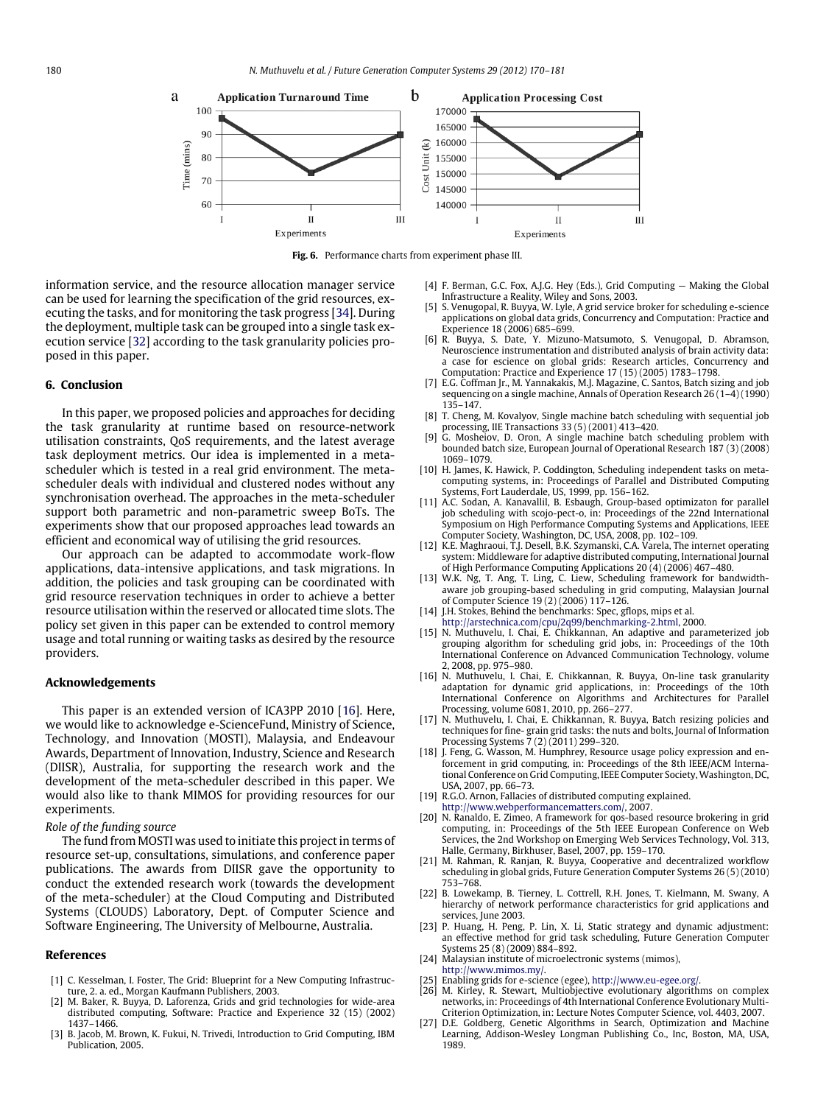<span id="page-10-26"></span>

**Fig. 6.** Performance charts from experiment phase III.

information service, and the resource allocation manager service can be used for learning the specification of the grid resources, executing the tasks, and for monitoring the task progress [\[34\]](#page-11-11). During the deployment, multiple task can be grouped into a single task execution service [\[32\]](#page-11-9) according to the task granularity policies proposed in this paper.

#### <span id="page-10-4"></span>**6. Conclusion**

In this paper, we proposed policies and approaches for deciding the task granularity at runtime based on resource-network utilisation constraints, QoS requirements, and the latest average task deployment metrics. Our idea is implemented in a metascheduler which is tested in a real grid environment. The metascheduler deals with individual and clustered nodes without any synchronisation overhead. The approaches in the meta-scheduler support both parametric and non-parametric sweep BoTs. The experiments show that our proposed approaches lead towards an efficient and economical way of utilising the grid resources.

Our approach can be adapted to accommodate work-flow applications, data-intensive applications, and task migrations. In addition, the policies and task grouping can be coordinated with grid resource reservation techniques in order to achieve a better resource utilisation within the reserved or allocated time slots. The policy set given in this paper can be extended to control memory usage and total running or waiting tasks as desired by the resource providers.

#### **Acknowledgements**

This paper is an extended version of ICA3PP 2010 [\[16\]](#page-10-14). Here, we would like to acknowledge e-ScienceFund, Ministry of Science, Technology, and Innovation (MOSTI), Malaysia, and Endeavour Awards, Department of Innovation, Industry, Science and Research (DIISR), Australia, for supporting the research work and the development of the meta-scheduler described in this paper. We would also like to thank MIMOS for providing resources for our experiments.

*Role of the funding source*

The fund from MOSTI was used to initiate this project in terms of resource set-up, consultations, simulations, and conference paper publications. The awards from DIISR gave the opportunity to conduct the extended research work (towards the development of the meta-scheduler) at the Cloud Computing and Distributed Systems (CLOUDS) Laboratory, Dept. of Computer Science and Software Engineering, The University of Melbourne, Australia.

#### **References**

- <span id="page-10-0"></span>[1] C. Kesselman, I. Foster, The Grid: Blueprint for a New Computing Infrastructure, 2. a. ed., Morgan Kaufmann Publishers, 2003.
- [2] M. Baker, R. Buyya, D. Laforenza, Grids and grid technologies for wide-area distributed computing, Software: Practice and Experience 32 (15) (2002) 1437–1466.
- [3] B. Jacob, M. Brown, K. Fukui, N. Trivedi, Introduction to Grid Computing, IBM Publication, 2005.
- <span id="page-10-1"></span>[4] F. Berman, G.C. Fox, A.J.G. Hey (Eds.), Grid Computing — Making the Global
- <span id="page-10-2"></span>Infrastructure a Reality, Wiley and Sons, 2003. [5] S. Venugopal, R. Buyya, W. Lyle, A grid service broker for scheduling e-science applications on global data grids, Concurrency and Computation: Practice and Experience 18 (2006) 685–699.
- <span id="page-10-3"></span>[6] R. Buyya, S. Date, Y. Mizuno-Matsumoto, S. Venugopal, D. Abramson, Neuroscience instrumentation and distributed analysis of brain activity data: a case for escience on global grids: Research articles, Concurrency and Computation: Practice and Experience 17 (15) (2005) 1783–1798.
- <span id="page-10-5"></span>[7] E.G. Coffman Jr., M. Yannakakis, M.J. Magazine, C. Santos, Batch sizing and job sequencing on a single machine, Annals of Operation Research 26 (1–4) (1990) 135–147.
- <span id="page-10-6"></span>[8] T. Cheng, M. Kovalyov, Single machine batch scheduling with sequential job processing, IIE Transactions 33 (5) (2001) 413–420.
- <span id="page-10-7"></span>[9] G. Mosheiov, D. Oron, A single machine batch scheduling problem with bounded batch size, European Journal of Operational Research 187 (3) (2008) 1069–1079.
- <span id="page-10-8"></span>[10] H. James, K. Hawick, P. Coddington, Scheduling independent tasks on metacomputing systems, in: Proceedings of Parallel and Distributed Computing Systems, Fort Lauderdale, US, 1999, pp. 156–162.
- <span id="page-10-9"></span>[11] A.C. Sodan, A. Kanavallil, B. Esbaugh, Group-based optimizaton for parallel job scheduling with scojo-pect-o, in: Proceedings of the 22nd International Symposium on High Performance Computing Systems and Applications, IEEE Computer Society, Washington, DC, USA, 2008, pp. 102–109.
- <span id="page-10-10"></span>[12] K.E. Maghraoui, T.J. Desell, B.K. Szymanski, C.A. Varela, The internet operating system: Middleware for adaptive distributed computing, International Journal
- <span id="page-10-11"></span>of High Performance Computing Applications 20 (4) (2006) 467–480. [13] W.K. Ng, T. Ang, T. Ling, C. Liew, Scheduling framework for bandwidthaware job grouping-based scheduling in grid computing, Malaysian Journal of Computer Science 19 (2) (2006) 117–126.
- <span id="page-10-12"></span>[14] J.H. Stokes, Behind the benchmarks: Spec, gflops, mips et al.
- <span id="page-10-13"></span>[http://arstechnica.com/cpu/2q99/benchmarking-2.html,](http://arstechnica.com/cpu/2q99/benchmarking-2.html) 2000. [15] N. Muthuvelu, I. Chai, E. Chikkannan, An adaptive and parameterized job grouping algorithm for scheduling grid jobs, in: Proceedings of the 10th International Conference on Advanced Communication Technology, volume
- <span id="page-10-14"></span>2, 2008, pp. 975–980. [16] N. Muthuvelu, I. Chai, E. Chikkannan, R. Buyya, On-line task granularity adaptation for dynamic grid applications, in: Proceedings of the 10th International Conference on Algorithms and Architectures for Parallel Processing, volume 6081, 2010, pp. 266–277.
- <span id="page-10-15"></span>[17] N. Muthuvelu, I. Chai, E. Chikkannan, R. Buyya, Batch resizing policies and techniques for fine- grain grid tasks: the nuts and bolts, Journal of Information Processing Systems 7 (2) (2011) 299–320.
- <span id="page-10-16"></span>[18] J. Feng, G. Wasson, M. Humphrey, Resource usage policy expression and en-forcement in grid computing, in: Proceedings of the 8th IEEE/ACM International Conference on Grid Computing, IEEE Computer Society, Washington, DC, USA, 2007, pp. 66–73.
- <span id="page-10-17"></span>[19] R.G.O. Arnon, Fallacies of distributed computing explained. [http://www.webperformancematters.com/,](http://www.webperformancematters.com/) 2007.
- <span id="page-10-18"></span>[20] N. Ranaldo, E. Zimeo, A framework for qos-based resource brokering in grid computing, in: Proceedings of the 5th IEEE European Conference on Web Services, the 2nd Workshop on Emerging Web Services Technology, Vol. 313, Halle, Germany, Birkhuser, Basel, 2007, pp. 159–170.
- <span id="page-10-19"></span>[21] M. Rahman, R. Ranjan, R. Buyya, Cooperative and decentralized workflow scheduling in global grids, Future Generation Computer Systems 26 (5) (2010) 753–768.
- <span id="page-10-20"></span>[22] B. Lowekamp, B. Tierney, L. Cottrell, R.H. Jones, T. Kielmann, M. Swany, A hierarchy of network performance characteristics for grid applications and services, June 2003.
- <span id="page-10-21"></span>[23] P. Huang, H. Peng, P. Lin, X. Li, Static strategy and dynamic adjustment: an effective method for grid task scheduling, Future Generation Computer Systems 25 (8) (2009) 884–892.
- <span id="page-10-22"></span>[24] Malaysian institute of microelectronic systems (mimos), [http://www.mimos.my/.](http://www.mimos.my/)
- <span id="page-10-23"></span>[25] Enabling grids for e-science (egee), [http://www.eu-egee.org/.](http://www.eu-egee.org/)
- <span id="page-10-24"></span>[26] M. Kirley, R. Stewart, Multiobjective evolutionary algorithms on complex networks, in: Proceedings of 4th International Conference Evolutionary Multi-Criterion Optimization, in: Lecture Notes Computer Science, vol. 4403, 2007.
- <span id="page-10-25"></span>[27] D.E. Goldberg, Genetic Algorithms in Search, Optimization and Machine Learning, Addison-Wesley Longman Publishing Co., Inc, Boston, MA, USA, 1989.